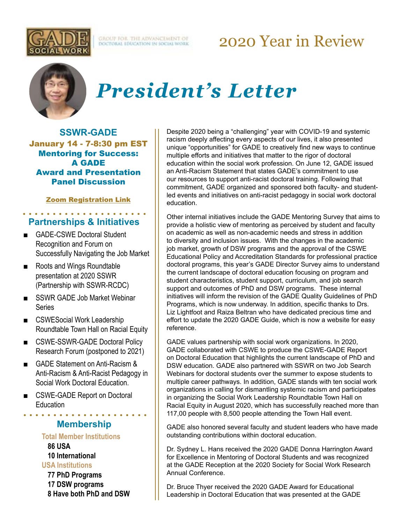

**GROUT FOR THE ADVANCEMENT OF**<br>DOCTORAL EDUCATION IN SOCIALWORK

## 2020 Year in Review



# *President's Letter*

**SSWR-GADE** January 14 - 7-8:30 pm EST Mentoring for Success: A GADE Award and Presentation Panel Discussion

### [Zoom Registration Link](https://urldefense.com/v3/__https:/nam11.safelinks.protection.outlook.com/?url=https*3A*2F*2Furldefense.com*2Fv3*2F__https*3A*2Fnam11.safelinks.protection.outlook.com*2F*3Furl*3Dhttps*3A*2F*2Furldefense.proofpoint.com*2Fv2*2Furl*3Fu*3Dhttps-3A__umaryland.zoom.us_meeting_register_tJMsdu2opj4iG9zn1aDLzDgEsfHHJ-5Fw6aIpI*26d*3DDwMFAg*26c*3DslrrB7dE8n7gBJbeO0g-IQ*26r*3DltiwpPv12BiRwl__ZHEpxg*26m*3DTJSZX9tLyTmTmSuHDdtWgJWqLcGt4aOcsHiqmJXa57g*26s*3DW_xMX-y9bopdrosT-Dbe35mhCLUVmDvMQVP3aHsQ3-4*26e*3D*26data*3D04*7C01*7CCBRIGHT*40ssw.umaryland.edu*7Cd5061aa0bb344ca7ca7b08d89d463e05*7C3dcdbc4a7e4c407b80f77fb6757182f2*7C0*7C0*7C637432272301967519*7CUnknown*7CTWFpbGZsb3d8eyJWIjoiMC4wLjAwMDAiLCJQIjoiV2luMzIiLCJBTiI6Ik1haWwiLCJXVCI6Mn0*3D*7C1000*26sdata*3DaiBWWU8nElyzkqT1eh2OydHeX*2F5vAg1MIUT64YM8hEw*3D*26reserved*3D0__*3BJSUlJSUlJSUlJSUlJSUlJSUlJSUlJSUlJSUlJSUlJSUl!!KGKeukY!jpQX_lTgUN6lnzykIhfUV9Qn6rpw_HQwR9WXK8fAiW6-zfmfjW7_fpXjzNHuGyMn*24&data=04*7C01*7CCBRIGHT*40ssw.umaryland.edu*7C5ed20fee231045bcbf4808d89d526bbf*7C3dcdbc4a7e4c407b80f77fb6757182f2*7C0*7C0*7C637432324612188540*7CUnknown*7CTWFpbGZsb3d8eyJWIjoiMC4wLjAwMDAiLCJQIjoiV2luMzIiLCJBTiI6Ik1haWwiLCJXVCI6Mn0*3D*7C1000&sdata=hVD60pRak0Z68z*2B8dvb143kE0DfZcCRoA7QfFrQGsi8*3D&reserved=0__;JSUlJSUlJSUlJSoqKioqKioqKioqKioqKioqKiolJSoqKioqKioqKioqKiUlKiolJSUlJSUlJSUlJSUlJSUlJSU!!KGKeukY!i1lzQ3gpenlf8P4HTKwSMwPuMpNRNTTye9s-ACtv35rGbRBaxsgjcCDdXS5_2Tfh$)

## **Partnerships & Initiatives**

- GADE-CSWE Doctoral Student Recognition and Forum on Successfully Navigating the Job Market
- Roots and Wings Roundtable presentation at 2020 SSWR (Partnership with SSWR-RCDC)
- SSWR GADE Job Market Webinar **Series**
- CSWESocial Work Leadership Roundtable Town Hall on Racial Equity
- CSWE-SSWR-GADE Doctoral Policy Research Forum (postponed to 2021)
- GADE Statement on Anti-Racism & Anti-Racism & Anti-Racist Pedagogy in Social Work Doctoral Education.
- CSWE-GADE Report on Doctoral Education

**Membership**

#### **Total Member Institutions**

**86 USA**

#### **10 International USA Institutions**

**77 PhD Programs 17 DSW programs 8 Have both PhD and DSW**

Despite 2020 being a "challenging" year with COVID-19 and systemic racism deeply affecting every aspects of our lives, it also presented unique "opportunities" for GADE to creatively find new ways to continue multiple efforts and initiatives that matter to the rigor of doctoral education within the social work profession. On June 12, GADE issued an Anti-Racism Statement that states GADE's commitment to use our resources to support anti-racist doctoral training. Following that commitment, GADE organized and sponsored both faculty- and studentled events and initiatives on anti-racist pedagogy in social work doctoral education.

Other internal initiatives include the GADE Mentoring Survey that aims to provide a holistic view of mentoring as perceived by student and faculty on academic as well as non-academic needs and stress in addition to diversity and inclusion issues. With the changes in the academic job market, growth of DSW programs and the approval of the CSWE Educational Policy and Accreditation Standards for professional practice doctoral programs, this year's GADE Director Survey aims to understand the current landscape of doctoral education focusing on program and student characteristics, student support, curriculum, and job search support and outcomes of PhD and DSW programs. These internal initiatives will inform the revision of the GADE Quality Guidelines of PhD Programs, which is now underway. In addition, specific thanks to Drs. Liz Lightfoot and Raiza Beltran who have dedicated precious time and effort to update the 2020 GADE Guide, which is now a website for easy reference.

GADE values partnership with social work organizations. In 2020, GADE collaborated with CSWE to produce the CSWE-GADE Report on Doctoral Education that highlights the current landscape of PhD and DSW education. GADE also partnered with SSWR on two Job Search Webinars for doctoral students over the summer to expose students to multiple career pathways. In addition, GADE stands with ten social work organizations in calling for dismantling systemic racism and participates in organizing the Social Work Leadership Roundtable Town Hall on Racial Equity in August 2020, which has successfully reached more than 117,00 people with 8,500 people attending the Town Hall event.

GADE also honored several faculty and student leaders who have made outstanding contributions within doctoral education.

Dr. Sydney L. Hans received the 2020 GADE Donna Harrington Award for Excellence in Mentoring of Doctoral Students and was recognized at the GADE Reception at the 2020 Society for Social Work Research Annual Conference.

Dr. Bruce Thyer received the 2020 GADE Award for Educational Leadership in Doctoral Education that was presented at the GADE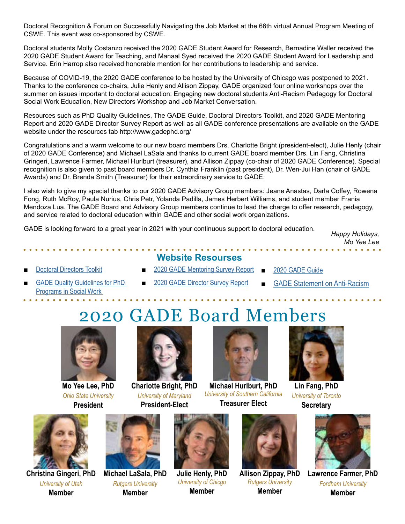Doctoral Recognition & Forum on Successfully Navigating the Job Market at the 66th virtual Annual Program Meeting of CSWE. This event was co-sponsored by CSWE.

Doctoral students Molly Costanzo received the 2020 GADE Student Award for Research, Bernadine Waller received the 2020 GADE Student Award for Teaching, and Manaal Syed received the 2020 GADE Student Award for Leadership and Service. Erin Harrop also received honorable mention for her contributions to leadership and service.

Because of COVID-19, the 2020 GADE conference to be hosted by the University of Chicago was postponed to 2021. Thanks to the conference co-chairs, Julie Henly and Allison Zippay, GADE organized four online workshops over the summer on issues important to doctoral education: Engaging new doctoral students Anti-Racism Pedagogy for Doctoral Social Work Education, New Directors Workshop and Job Market Conversation.

Resources such as PhD Quality Guidelines, The GADE Guide, Doctoral Directors Toolkit, and 2020 GADE Mentoring Report and 2020 GADE Director Survey Report as well as all GADE conference presentations are available on the GADE website under the resources tab http://www.gadephd.org/

Congratulations and a warm welcome to our new board members Drs. Charlotte Bright (president-elect), Julie Henly (chair of 2020 GADE Conference) and Michael LaSala and thanks to current GADE board member Drs. Lin Fang, Christina Gringeri, Lawrence Farmer, Michael Hurlburt (treasurer), and Allison Zippay (co-chair of 2020 GADE Conference). Special recognition is also given to past board members Dr. Cynthia Franklin (past president), Dr. Wen-Jui Han (chair of GADE Awards) and Dr. Brenda Smith (Treasurer) for their extraordinary service to GADE.

I also wish to give my special thanks to our 2020 GADE Advisory Group members: Jeane Anastas, Darla Coffey, Rowena Fong, Ruth McRoy, Paula Nurius, Chris Petr, Yolanda Padilla, James Herbert Williams, and student member Frania Mendoza Lua. The GADE Board and Advisory Group members continue to lead the charge to offer research, pedagogy, and service related to doctoral education within GADE and other social work organizations.

GADE is looking forward to a great year in 2021 with your continuous support to doctoral education. *Happy Holidays,*

*Mo Yee Lee*

- **[Doctoral Directors Toolkit](http://www.gadephd.org/Resources/Doctoral-Directors-Toolkit)**
- **Website Resourses** ■ 2020 GADE Mentoring Survey Report ■ [2020 GADE Guide](https://sites.google.com/umn.edu/gade-guide/home)

 $\mathbf{a} \cdot \mathbf{a} \cdot \mathbf{a} \cdot \mathbf{a} \cdot \mathbf{a} \cdot \mathbf{a} \cdot \mathbf{a} \cdot \mathbf{a} \cdot \mathbf{a} \cdot \mathbf{a}$ 

- **GADE Quality Guidelines for PhD** [Programs in Social Work](http://www.gadephd.org/Guidelines)
- [2020 GADE Director Survey Report](http://www.gadephd.org/Portals/0/docs/Resources/2020%20GADE%20Director%20Survey%20Report.pdf?ver=bOSVmJVet8I_2SIfhoGNUA%3d%3d)
- **[GADE Statement on Anti-Racism](http://www.gadephd.org/Portals/0/docs/Anti-Racist%20Pedagogy/GADE%20Statement%20on%20Anti-Racism%20June%2012%202020.pdf?ver=Z1IcdN8JFfpWZgcz-5btuA%3d%3d)**

## 2020 GADE Board Members



**Mo Yee Lee, PhD** *Ohio State University* **President**



**Charlotte Bright, PhD** *University of Maryland* **President-Elect**



**Michael Hurlburt, PhD**  *University of Southern California*  **Treasurer Elect**



**Christina Gingeri, PhD**  *University of Utah* **Member**

**Michael LaSala, PhD**  *Rutgers University* **Member**



**Julie Henly, PhD** *University of Chicgo* **Member**



**Allison Zippay, PhD**  *Rutgers University* **Member**



**Lin Fang, PhD**  *University of Toronto* **Secretary**



**Lawrence Farmer, PhD**  *Fordham University* **Member**